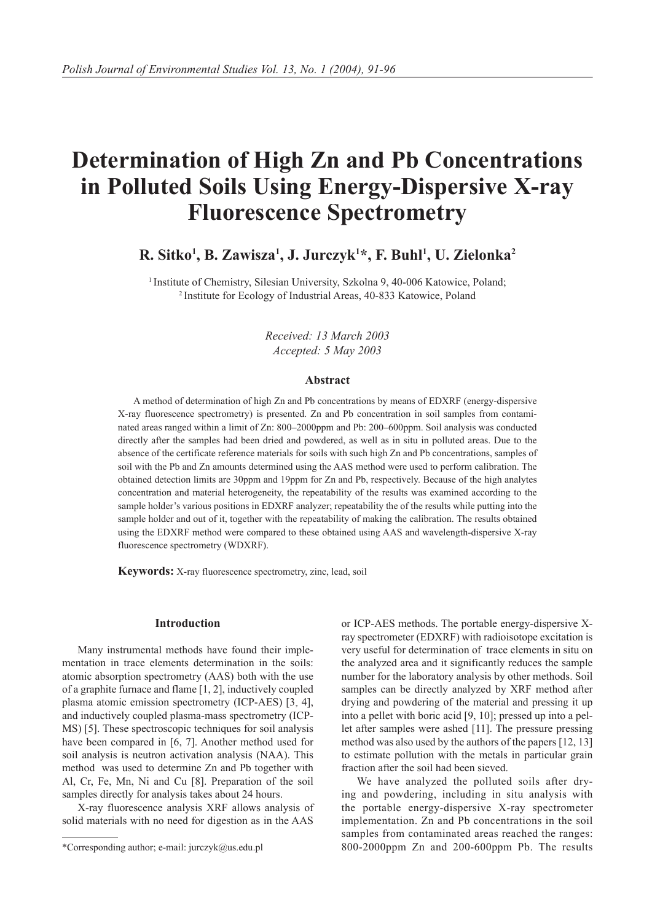# **Determination of High Zn and Pb Concentrations in Polluted Soils Using Energy-Dispersive X-ray Fluorescence Spectrometry**

# **R. Sitko1 , B. Zawisza1 , J. Jurczyk1 \*, F. Buhl1 , U. Zielonka2**

<sup>1</sup> Institute of Chemistry, Silesian University, Szkolna 9, 40-006 Katowice, Poland; <sup>2</sup> Institute for Ecology of Industrial Areas, 40-833 Katowice, Poland

*Received: 13 March 2003 Accepted: 5 May 2003*

# **Abstract**

A method of determination of high Zn and Pb concentrations by means of EDXRF (energy-dispersive X-ray fluorescence spectrometry) is presented. Zn and Pb concentration in soil samples from contaminated areas ranged within a limit of Zn: 800–2000ppm and Pb: 200–600ppm. Soil analysis was conducted directly after the samples had been dried and powdered, as well as in situ in polluted areas. Due to the absence of the certificate reference materials for soils with such high Zn and Pb concentrations, samples of soil with the Pb and Zn amounts determined using the AAS method were used to perform calibration. The obtained detection limits are 30ppm and 19ppm for Zn and Pb, respectively. Because of the high analytes concentration and material heterogeneity, the repeatability of the results was examined according to the sample holder's various positions in EDXRF analyzer; repeatability the of the results while putting into the sample holder and out of it, together with the repeatability of making the calibration. The results obtained using the EDXRF method were compared to these obtained using AAS and wavelength-dispersive X-ray fluorescence spectrometry (WDXRF).

**Keywords:** X-ray fluorescence spectrometry, zinc, lead, soil

### **Introduction**

Many instrumental methods have found their implementation in trace elements determination in the soils: atomic absorption spectrometry (AAS) both with the use of a graphite furnace and flame [1, 2], inductively coupled plasma atomic emission spectrometry (ICP-AES) [3, 4], and inductively coupled plasma-mass spectrometry (ICP-MS) [5]. These spectroscopic techniques for soil analysis have been compared in [6, 7]. Another method used for soil analysis is neutron activation analysis (NAA). This method was used to determine Zn and Pb together with Al, Cr, Fe, Mn, Ni and Cu [8]. Preparation of the soil samples directly for analysis takes about 24 hours.

X-ray fluorescence analysis XRF allows analysis of solid materials with no need for digestion as in the AAS

or ICP-AES methods. The portable energy-dispersive Xray spectrometer (EDXRF) with radioisotope excitation is very useful for determination of trace elements in situ on the analyzed area and it significantly reduces the sample number for the laboratory analysis by other methods. Soil samples can be directly analyzed by XRF method after drying and powdering of the material and pressing it up into a pellet with boric acid [9, 10]; pressed up into a pellet after samples were ashed [11]. The pressure pressing method was also used by the authors of the papers [12, 13] to estimate pollution with the metals in particular grain fraction after the soil had been sieved.

We have analyzed the polluted soils after drying and powdering, including in situ analysis with the portable energy-dispersive X-ray spectrometer implementation. Zn and Pb concentrations in the soil samples from contaminated areas reached the ranges: 800-2000ppm Zn and 200-600ppm Pb. The results

<sup>\*</sup>Corresponding author; e-mail: jurczyk@us.edu.pl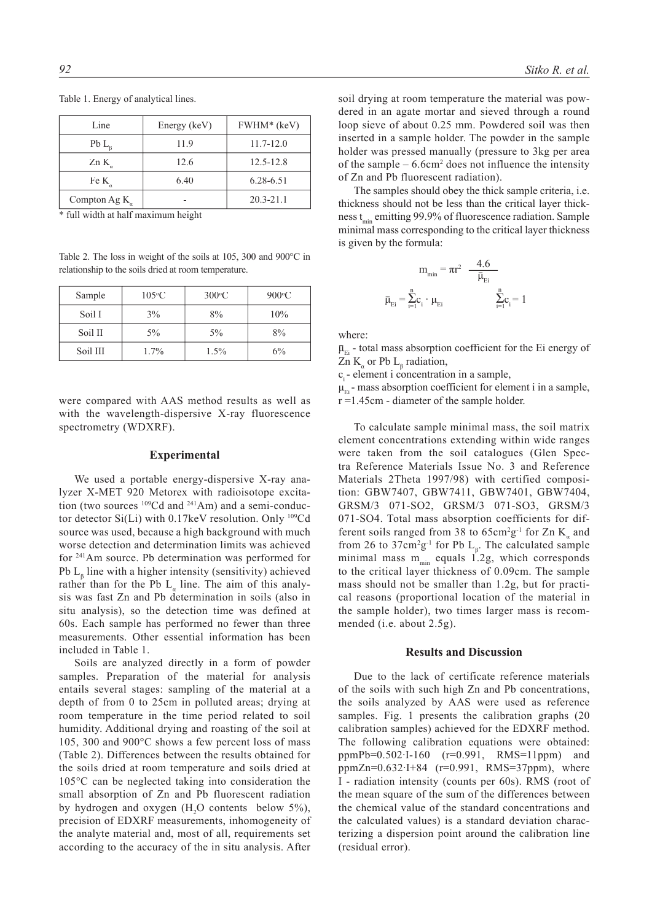| Line           | Energy (keV) | FWHM* (keV)   |
|----------------|--------------|---------------|
| $PbL_{o}$      | 11.9         | $11.7 - 12.0$ |
| Zn K           | 12.6         | $12.5 - 12.8$ |
| Fe K           | 6.40         | 6.28-6.51     |
| Compton Ag $K$ |              | $20.3 - 21.1$ |

Table 1. Energy of analytical lines.

\* full width at half maximum height

Table 2. The loss in weight of the soils at 105, 300 and 900°C in relationship to the soils dried at room temperature.

| Sample   | $105\textdegree C$ | $300^{\circ}$ C | $900\textdegree C$ |
|----------|--------------------|-----------------|--------------------|
| Soil I   | 3%                 | 8%              | 10%                |
| Soil II  | $5\%$              | 5%              | 8%                 |
| Soil III | 1.7%               | $1.5\%$         | $6\%$              |

were compared with AAS method results as well as with the wavelength-dispersive X-ray fluorescence spectrometry (WDXRF).

#### **Experimental**

We used a portable energy-dispersive X-ray analyzer X-MET 920 Metorex with radioisotope excitation (two sources <sup>109</sup>Cd and <sup>241</sup>Am) and a semi-conductor detector  $Si(Li)$  with 0.17keV resolution. Only  $109Cd$ source was used, because a high background with much worse detection and determination limits was achieved for 241Am source. Pb determination was performed for Pb  $L_{\beta}$  line with a higher intensity (sensitivity) achieved rather than for the Pb  $L_a$  line. The aim of this analysis was fast Zn and Pb determination in soils (also in situ analysis), so the detection time was defined at 60s. Each sample has performed no fewer than three measurements. Other essential information has been included in Table 1.

Soils are analyzed directly in a form of powder samples. Preparation of the material for analysis entails several stages: sampling of the material at a depth of from 0 to 25cm in polluted areas; drying at room temperature in the time period related to soil humidity. Additional drying and roasting of the soil at 105, 300 and 900°C shows a few percent loss of mass (Table 2). Differences between the results obtained for the soils dried at room temperature and soils dried at 105°C can be neglected taking into consideration the small absorption of Zn and Pb fluorescent radiation by hydrogen and oxygen  $(H_2O \text{ contents} \text{ below } 5\%)$ , precision of EDXRF measurements, inhomogeneity of the analyte material and, most of all, requirements set according to the accuracy of the in situ analysis. After

soil drying at room temperature the material was powdered in an agate mortar and sieved through a round loop sieve of about 0.25 mm. Powdered soil was then inserted in a sample holder. The powder in the sample holder was pressed manually (pressure to 3kg per area of the sample  $-6.6$ cm<sup>2</sup> does not influence the intensity of Zn and Pb fluorescent radiation).

The samples should obey the thick sample criteria, i.e. thickness should not be less than the critical layer thickness  $t_{\min}$  emitting 99.9% of fluorescence radiation. Sample minimal mass corresponding to the critical layer thickness is given by the formula:

$$
m_{\min} = \pi r^2 \frac{4.6}{\bar{\mu}_{E i}}
$$

$$
\bar{\mu}_{E i} = \sum_{i=1}^{n} c_i \cdot \mu_{E i} \qquad \qquad \sum_{i=1}^{n} c_i = 1
$$

where:

 $\bar{\mu}_{Ei}$  - total mass absorption coefficient for the Ei energy of Zn  $K_{\alpha}$  or Pb  $L_{\beta}$  radiation,

ci - element i concentration in a sample,

 $\mu_{Ei}$  - mass absorption coefficient for element i in a sample, r =1.45cm - diameter of the sample holder.

To calculate sample minimal mass, the soil matrix element concentrations extending within wide ranges were taken from the soil catalogues (Glen Spectra Reference Materials Issue No. 3 and Reference Materials 2Theta 1997/98) with certified composition: GBW7407, GBW7411, GBW7401, GBW7404, GRSM/3 071-SO2, GRSM/3 071-SO3, GRSM/3 071-SO4. Total mass absorption coefficients for different soils ranged from 38 to  $65 \text{cm}^2 \text{g}^{-1}$  for Zn K<sub>a</sub> and from 26 to 37cm<sup>2</sup>g<sup>-1</sup> for Pb  $L_{\beta}$ . The calculated sample minimal mass  $m_{min}$  equals 1.2g, which corresponds to the critical layer thickness of 0.09cm. The sample mass should not be smaller than 1.2g, but for practical reasons (proportional location of the material in the sample holder), two times larger mass is recommended (i.e. about 2.5g).

#### **Results and Discussion**

Due to the lack of certificate reference materials of the soils with such high Zn and Pb concentrations, the soils analyzed by AAS were used as reference samples. Fig. 1 presents the calibration graphs (20 calibration samples) achieved for the EDXRF method. The following calibration equations were obtained: ppmPb=0.502·I-160 (r=0.991, RMS=11ppm) and ppmZn=0.632·I+84 (r=0.991, RMS=37ppm), where I - radiation intensity (counts per 60s). RMS (root of the mean square of the sum of the differences between the chemical value of the standard concentrations and the calculated values) is a standard deviation characterizing a dispersion point around the calibration line (residual error).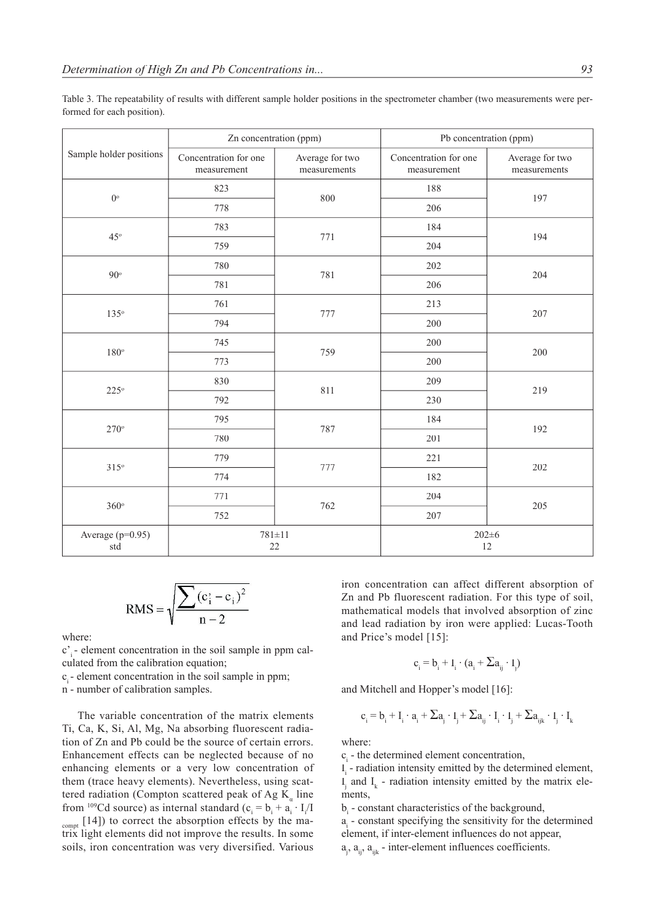|                         | Zn concentration (ppm)               |                                 | Pb concentration (ppm)               |                                 |
|-------------------------|--------------------------------------|---------------------------------|--------------------------------------|---------------------------------|
| Sample holder positions | Concentration for one<br>measurement | Average for two<br>measurements | Concentration for one<br>measurement | Average for two<br>measurements |
| $0^{\circ}$             | 823                                  |                                 | 188                                  | 197                             |
|                         | 778                                  | 800                             | 206                                  |                                 |
| $45^\circ$              | 783                                  |                                 | 184                                  | 194                             |
|                         | 759                                  | 771                             | 204                                  |                                 |
| $90^{\circ}$            | 780                                  |                                 | 202                                  | 204                             |
|                         | 781                                  | 781                             | 206                                  |                                 |
| 135°                    | 761                                  | 777                             | 213                                  | 207                             |
|                         | 794                                  |                                 | 200                                  |                                 |
| $180^{\circ}$           | 745                                  | 759                             | 200                                  | 200                             |
|                         | 773                                  |                                 | 200                                  |                                 |
|                         | 830                                  | 811                             | 209                                  | 219                             |
| $225^\circ$             | 792                                  |                                 | 230                                  |                                 |
| $270^\circ$             | 795                                  | 787                             | 184                                  | 192                             |
|                         | 780                                  |                                 | 201                                  |                                 |
| $315^\circ$             | 779                                  | 777                             | 221                                  | 202                             |
|                         | 774                                  |                                 | 182                                  |                                 |
| $360^\circ$             | 771                                  | 762                             | 204                                  | 205                             |
|                         | 752                                  |                                 | 207                                  |                                 |
| Average (p=0.95)<br>std | $781 \pm 11$<br>22                   |                                 | $202 \pm 6$<br>12                    |                                 |

Table 3. The repeatability of results with different sample holder positions in the spectrometer chamber (two measurements were performed for each position).

RMS = 
$$
\sqrt{\frac{\sum (c_i - c_i)^2}{n - 2}}
$$

where:

c'i - element concentration in the soil sample in ppm calculated from the calibration equation;

c<sub>i</sub> - element concentration in the soil sample in ppm;

n - number of calibration samples.

The variable concentration of the matrix elements Ti, Ca, K, Si, Al, Mg, Na absorbing fluorescent radiation of Zn and Pb could be the source of certain errors. Enhancement effects can be neglected because of no enhancing elements or a very low concentration of them (trace heavy elements). Nevertheless, using scattered radiation (Compton scattered peak of Ag  $K_a$  line from <sup>109</sup>Cd source) as internal standard ( $c_i = b_i + a_i \cdot I_i/I$  $_{\text{comnt}}$  [14]) to correct the absorption effects by the matrix light elements did not improve the results. In some soils, iron concentration was very diversified. Various

iron concentration can affect different absorption of Zn and Pb fluorescent radiation. For this type of soil, mathematical models that involved absorption of zinc and lead radiation by iron were applied: Lucas-Tooth and Price's model [15]:

$$
c_i = b_i + I_i \cdot (a_i + \Sigma a_{ij} \cdot I_j)
$$

and Mitchell and Hopper's model [16]:

$$
c_{_i}=b_{_i}+I_{_i}\cdot a_{_i}+\Sigma a_{_j}\cdot I_{_j}+\Sigma a_{_{ij}}\cdot I_{_i}\cdot I_{_j}+\Sigma a_{_{ijk}}\cdot I_{_j}\cdot I_{_k}
$$

where:

 $c_i$  - the determined element concentration,

 $I_i$  - radiation intensity emitted by the determined element, I<sub>j</sub> and I<sub>k</sub> - radiation intensity emitted by the matrix elements,

 $b_i$  - constant characteristics of the background,

 $a_i$  - constant specifying the sensitivity for the determined element, if inter-element influences do not appear,

 $a_j$ ,  $a_{ij}$ ,  $a_{ijk}$  - inter-element influences coefficients.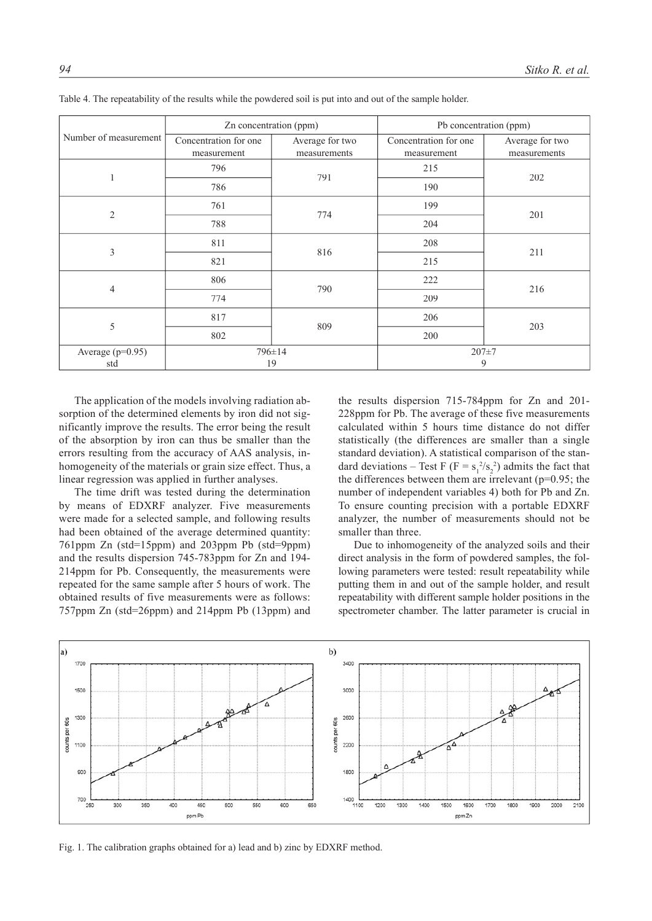| Number of measurement   | Zn concentration (ppm)               |                                 | Pb concentration (ppm)               |                                 |
|-------------------------|--------------------------------------|---------------------------------|--------------------------------------|---------------------------------|
|                         | Concentration for one<br>measurement | Average for two<br>measurements | Concentration for one<br>measurement | Average for two<br>measurements |
|                         | 796                                  |                                 | 215                                  |                                 |
|                         | 786                                  | 791                             | 190                                  | 202                             |
| $\overline{2}$          | 761                                  | 774                             | 199                                  | 201                             |
|                         | 788                                  |                                 | 204                                  |                                 |
| 3                       | 811                                  | 816                             | 208                                  | 211                             |
|                         | 821                                  |                                 | 215                                  |                                 |
| $\overline{4}$          | 806                                  | 790                             | 222                                  | 216                             |
|                         | 774                                  |                                 | 209                                  |                                 |
| 5                       | 817                                  | 809                             | 206                                  | 203                             |
|                         | 802                                  |                                 | 200                                  |                                 |
| Average (p=0.95)<br>std | 796±14<br>19                         |                                 | $207 + 7$<br>9                       |                                 |

Table 4. The repeatability of the results while the powdered soil is put into and out of the sample holder.

The application of the models involving radiation absorption of the determined elements by iron did not significantly improve the results. The error being the result of the absorption by iron can thus be smaller than the errors resulting from the accuracy of AAS analysis, inhomogeneity of the materials or grain size effect. Thus, a linear regression was applied in further analyses.

The time drift was tested during the determination by means of EDXRF analyzer. Five measurements were made for a selected sample, and following results had been obtained of the average determined quantity: 761ppm Zn (std=15ppm) and 203ppm Pb (std=9ppm) and the results dispersion 745-783ppm for Zn and 194- 214ppm for Pb. Consequently, the measurements were repeated for the same sample after 5 hours of work. The obtained results of five measurements were as follows: 757ppm Zn (std=26ppm) and 214ppm Pb (13ppm) and

the results dispersion 715-784ppm for Zn and 201- 228ppm for Pb. The average of these five measurements calculated within 5 hours time distance do not differ statistically (the differences are smaller than a single standard deviation). A statistical comparison of the standard deviations – Test F ( $F = s_1^2/s_2^2$ ) admits the fact that the differences between them are irrelevant ( $p=0.95$ ; the number of independent variables 4) both for Pb and Zn. To ensure counting precision with a portable EDXRF analyzer, the number of measurements should not be smaller than three.

Due to inhomogeneity of the analyzed soils and their direct analysis in the form of powdered samples, the following parameters were tested: result repeatability while putting them in and out of the sample holder, and result repeatability with different sample holder positions in the spectrometer chamber. The latter parameter is crucial in



Fig. 1. The calibration graphs obtained for a) lead and b) zinc by EDXRF method.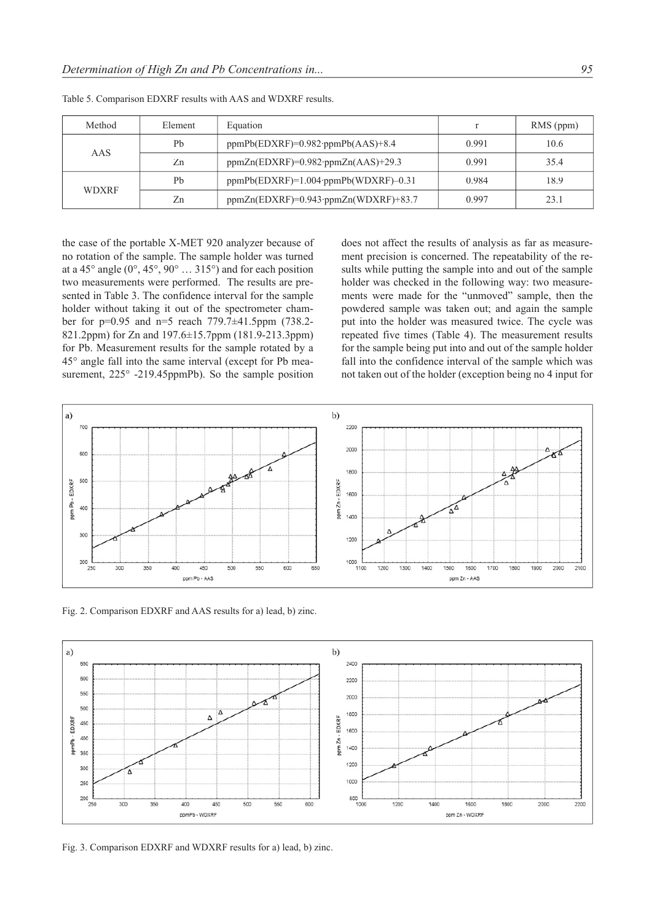| Method       | Element | Equation                                    |       | RMS (ppm) |
|--------------|---------|---------------------------------------------|-------|-----------|
| AAS          | Pb      | $ppmPb(EDXRF)=0.982\cdot ppmPb(AdS)+8.4$    | 0.991 | 10.6      |
|              | Zn      | $ppmZn(EDXRF)=0.982\cdot ppmZn(AdS)+29.3$   | 0.991 | 35.4      |
| <b>WDXRF</b> | Pb      | $ppmPb(EDXRF)=1.004\cdot ppmPb(WDXRF)-0.31$ | 0.984 | 18.9      |
|              | Zn      | $ppmZn(EDXRF)=0.943\cdot ppmZn(WDXRF)+83.7$ | 0.997 | 23.1      |

Table 5. Comparison EDXRF results with AAS and WDXRF results.

the case of the portable X-MET 920 analyzer because of no rotation of the sample. The sample holder was turned at a 45° angle (0°, 45°, 90° … 315°) and for each position two measurements were performed. The results are presented in Table 3. The confidence interval for the sample holder without taking it out of the spectrometer chamber for p=0.95 and n=5 reach 779.7±41.5ppm (738.2- 821.2ppm) for Zn and 197.6±15.7ppm (181.9-213.3ppm) for Pb. Measurement results for the sample rotated by a 45° angle fall into the same interval (except for Pb measurement, 225° -219.45ppmPb). So the sample position

does not affect the results of analysis as far as measurement precision is concerned. The repeatability of the results while putting the sample into and out of the sample holder was checked in the following way: two measurements were made for the "unmoved" sample, then the powdered sample was taken out; and again the sample put into the holder was measured twice. The cycle was repeated five times (Table 4). The measurement results for the sample being put into and out of the sample holder fall into the confidence interval of the sample which was not taken out of the holder (exception being no 4 input for



Fig. 2. Comparison EDXRF and AAS results for a) lead, b) zinc.



Fig. 3. Comparison EDXRF and WDXRF results for a) lead, b) zinc.